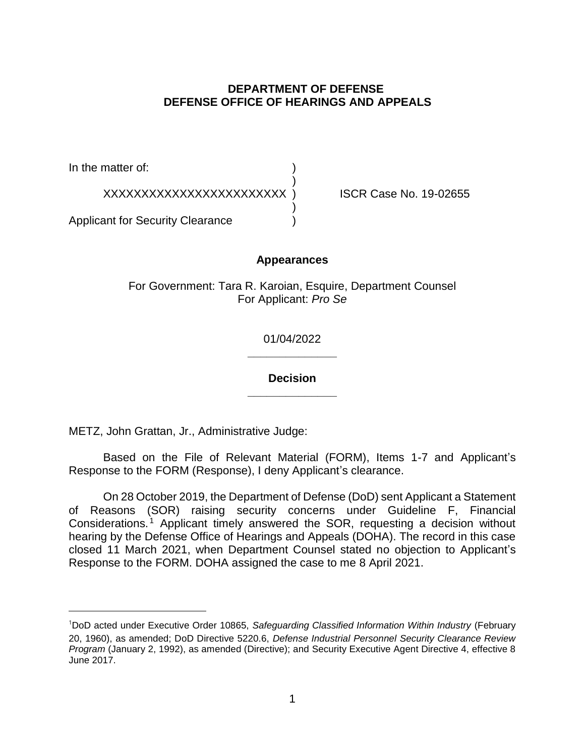# **DEPARTMENT OF DEFENSE DEFENSE OFFICE OF HEARINGS AND APPEALS**

In the matter of:

XXXXXXXXXXXXXXXXXXXXXXXX ) ISCR Case No. 19-02655

Applicant for Security Clearance )

## **Appearances**

)

)

For Government: Tara R. Karoian, Esquire, Department Counsel For Applicant: *Pro Se* 

> **\_\_\_\_\_\_\_\_\_\_\_\_\_\_**  01/04/2022

> **\_\_\_\_\_\_\_\_\_\_\_\_\_\_ Decision**

METZ, John Grattan, Jr., Administrative Judge:

 Based on the File of Relevant Material (FORM), Items 1-7 and Applicant's Response to the FORM (Response), I deny Applicant's clearance.

 On 28 October 2019, the Department of Defense (DoD) sent Applicant a Statement of Reasons (SOR) raising security concerns under Guideline F, Financial Considerations.<sup>1</sup> Applicant timely answered the SOR, requesting a decision without hearing by the Defense Office of Hearings and Appeals (DOHA). The record in this case closed 11 March 2021, when Department Counsel stated no objection to Applicant's Response to the FORM. DOHA assigned the case to me 8 April 2021.

<sup>&</sup>lt;sup>1</sup>DoD acted under Executive Order 10865, Safeguarding Classified Information Within Industry (February 20, 1960), as amended; DoD Directive 5220.6, *Defense Industrial Personnel Security Clearance Review Program* (January 2, 1992), as amended (Directive); and Security Executive Agent Directive 4, effective 8 June 2017.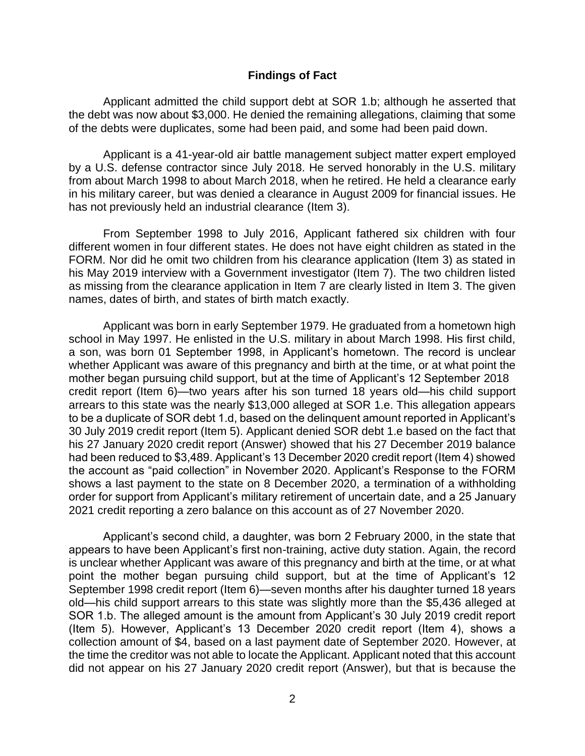Applicant admitted the child support debt at SOR 1.b; although he asserted that the debt was now about \$3,000. He denied the remaining allegations, claiming that some of the debts were duplicates, some had been paid, and some had been paid down.

 Applicant is a 41-year-old air battle management subject matter expert employed by a U.S. defense contractor since July 2018. He served honorably in the U.S. military from about March 1998 to about March 2018, when he retired. He held a clearance early in his military career, but was denied a clearance in August 2009 for financial issues. He has not previously held an industrial clearance (Item 3).

 From September 1998 to July 2016, Applicant fathered six children with four different women in four different states. He does not have eight children as stated in the FORM. Nor did he omit two children from his clearance application (Item 3) as stated in his May 2019 interview with a Government investigator (Item 7). The two children listed as missing from the clearance application in Item 7 are clearly listed in Item 3. The given names, dates of birth, and states of birth match exactly.

 Applicant was born in early September 1979. He graduated from a hometown high school in May 1997. He enlisted in the U.S. military in about March 1998. His first child, credit report (Item 6)—two years after his son turned 18 years old—his child support arrears to this state was the nearly \$13,000 alleged at SOR 1.e. This allegation appears to be a duplicate of SOR debt 1.d, based on the delinquent amount reported in Applicant's 30 July 2019 credit report (Item 5). Applicant denied SOR debt 1.e based on the fact that his 27 January 2020 credit report (Answer) showed that his 27 December 2019 balance had been reduced to \$3,489. Applicant's 13 December 2020 credit report (Item 4) showed the account as "paid collection" in November 2020. Applicant's Response to the FORM shows a last payment to the state on 8 December 2020, a termination of a withholding **Findings of Fact**<br>
e debt was now about \$3,000. He denied the remainted<br>
e debt was now about \$3,000. He denied the remaintement<br>
the debts were duplicates, some had been paid, an<br>
Applicant is a 41-year-old air battle ma a son, was born 01 September 1998, in Applicant's hometown. The record is unclear whether Applicant was aware of this pregnancy and birth at the time, or at what point the mother began pursuing child support, but at the time of Applicant's 12 September 2018 order for support from Applicant's military retirement of uncertain date, and a 25 January 2021 credit reporting a zero balance on this account as of 27 November 2020.

 Applicant's second child, a daughter, was born 2 February 2000, in the state that is unclear whether Applicant was aware of this pregnancy and birth at the time, or at what point the mother began pursuing child support, but at the time of Applicant's 12 September 1998 credit report (Item 6)—seven months after his daughter turned 18 years old—his child support arrears to this state was slightly more than the \$5,436 alleged at SOR 1.b. The alleged amount is the amount from Applicant's 30 July 2019 credit report (Item 5). However, Applicant's 13 December 2020 credit report (Item 4), shows a collection amount of \$4, based on a last payment date of September 2020. However, at the time the creditor was not able to locate the Applicant. Applicant noted that this account did not appear on his 27 January 2020 credit report (Answer), but that is because the appears to have been Applicant's first non-training, active duty station. Again, the record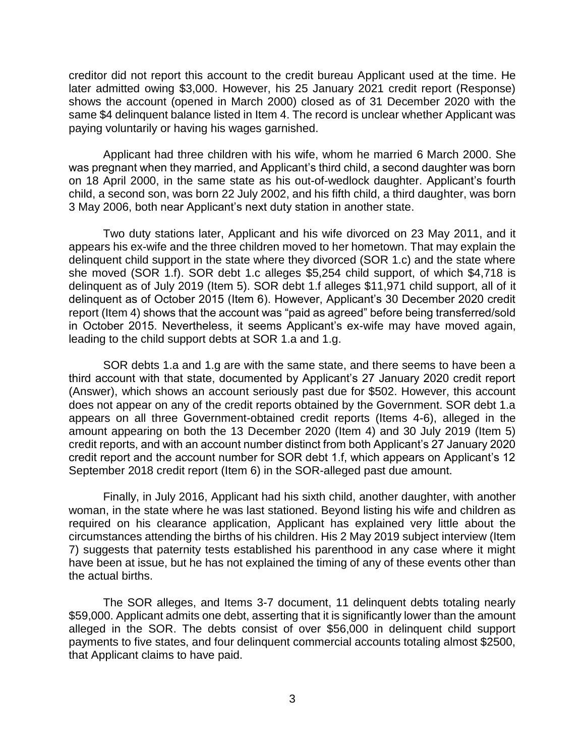creditor did not report this account to the credit bureau Applicant used at the time. He later admitted owing \$3,000. However, his 25 January 2021 credit report (Response) shows the account (opened in March 2000) closed as of 31 December 2020 with the same \$4 delinquent balance listed in Item 4. The record is unclear whether Applicant was paying voluntarily or having his wages garnished.

 Applicant had three children with his wife, whom he married 6 March 2000. She was pregnant when they married, and Applicant's third child, a second daughter was born on 18 April 2000, in the same state as his out-of-wedlock daughter. Applicant's fourth child, a second son, was born 22 July 2002, and his fifth child, a third daughter, was born 3 May 2006, both near Applicant's next duty station in another state.

 Two duty stations later, Applicant and his wife divorced on 23 May 2011, and it appears his ex-wife and the three children moved to her hometown. That may explain the delinquent child support in the state where they divorced (SOR 1.c) and the state where she moved (SOR 1.f). SOR debt 1.c alleges \$5,254 child support, of which \$4,718 is delinquent as of July 2019 (Item 5). SOR debt 1.f alleges \$11,971 child support, all of it delinquent as of October 2015 (Item 6). However, Applicant's 30 December 2020 credit report (Item 4) shows that the account was "paid as agreed" before being transferred/sold in October 2015. Nevertheless, it seems Applicant's ex-wife may have moved again, leading to the child support debts at SOR 1.a and 1.g. creditor did not report this account to the credit bureau Applicant used at the time. He<br>later admitted owing \$3,000. However, his 25 January 2021 credit report (Response)<br>shows the account (opened in March 2000) closed as

SOR debts 1.a and 1.g are with the same state, and there seems to have been a third account with that state, documented by Applicant's 27 January 2020 credit report (Answer), which shows an account seriously past due for \$502. However, this account does not appear on any of the credit reports obtained by the Government. SOR debt 1.a appears on all three Government-obtained credit reports (Items 4-6), alleged in the amount appearing on both the 13 December 2020 (Item 4) and 30 July 2019 (Item 5) credit reports, and with an account number distinct from both Applicant's 27 January 2020 credit report and the account number for SOR debt 1.f, which appears on Applicant's 12 September 2018 credit report (Item 6) in the SOR-alleged past due amount.

Finally, in July 2016, Applicant had his sixth child, another daughter, with another woman, in the state where he was last stationed. Beyond listing his wife and children as required on his clearance application, Applicant has explained very little about the circumstances attending the births of his children. His 2 May 2019 subject interview (Item 7) suggests that paternity tests established his parenthood in any case where it might have been at issue, but he has not explained the timing of any of these events other than the actual births.

 The SOR alleges, and Items 3-7 document, 11 delinquent debts totaling nearly \$59,000. Applicant admits one debt, asserting that it is significantly lower than the amount alleged in the SOR. The debts consist of over \$56,000 in delinquent child support payments to five states, and four delinquent commercial accounts totaling almost \$2500, that Applicant claims to have paid.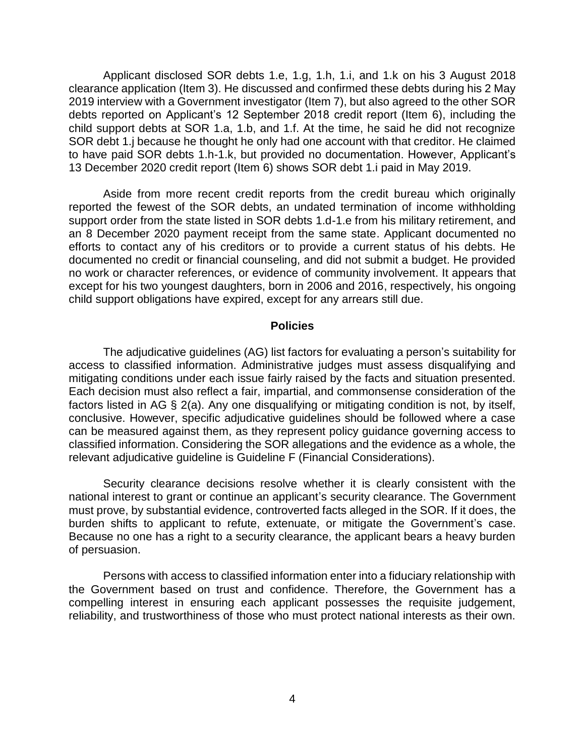Applicant disclosed SOR debts 1.e, 1.g, 1.h, 1.i, and 1.k on his 3 August 2018 clearance application (Item 3). He discussed and confirmed these debts during his 2 May 2019 interview with a Government investigator (Item 7), but also agreed to the other SOR debts reported on Applicant's 12 September 2018 credit report (Item 6), including the child support debts at SOR 1.a, 1.b, and 1.f. At the time, he said he did not recognize SOR debt 1.j because he thought he only had one account with that creditor. He claimed to have paid SOR debts 1.h-1.k, but provided no documentation. However, Applicant's 13 December 2020 credit report (Item 6) shows SOR debt 1.i paid in May 2019.

 Aside from more recent credit reports from the credit bureau which originally reported the fewest of the SOR debts, an undated termination of income withholding support order from the state listed in SOR debts 1.d-1.e from his military retirement, and an 8 December 2020 payment receipt from the same state. Applicant documented no efforts to contact any of his creditors or to provide a current status of his debts. He documented no credit or financial counseling, and did not submit a budget. He provided no work or character references, or evidence of community involvement. It appears that except for his two youngest daughters, born in 2006 and 2016, respectively, his ongoing child support obligations have expired, except for any arrears still due.

### **Policies**

 The adjudicative guidelines (AG) list factors for evaluating a person's suitability for access to classified information. Administrative judges must assess disqualifying and mitigating conditions under each issue fairly raised by the facts and situation presented. Each decision must also reflect a fair, impartial, and commonsense consideration of the factors listed in AG § 2(a). Any one disqualifying or mitigating condition is not, by itself, conclusive. However, specific adjudicative guidelines should be followed where a case can be measured against them, as they represent policy guidance governing access to classified information. Considering the SOR allegations and the evidence as a whole, the relevant adjudicative guideline is Guideline F (Financial Considerations).

 Security clearance decisions resolve whether it is clearly consistent with the national interest to grant or continue an applicant's security clearance. The Government must prove, by substantial evidence, controverted facts alleged in the SOR. If it does, the burden shifts to applicant to refute, extenuate, or mitigate the Government's case. Because no one has a right to a security clearance, the applicant bears a heavy burden of persuasion.

 Persons with access to classified information enter into a fiduciary relationship with the Government based on trust and confidence. Therefore, the Government has a compelling interest in ensuring each applicant possesses the requisite judgement, reliability, and trustworthiness of those who must protect national interests as their own.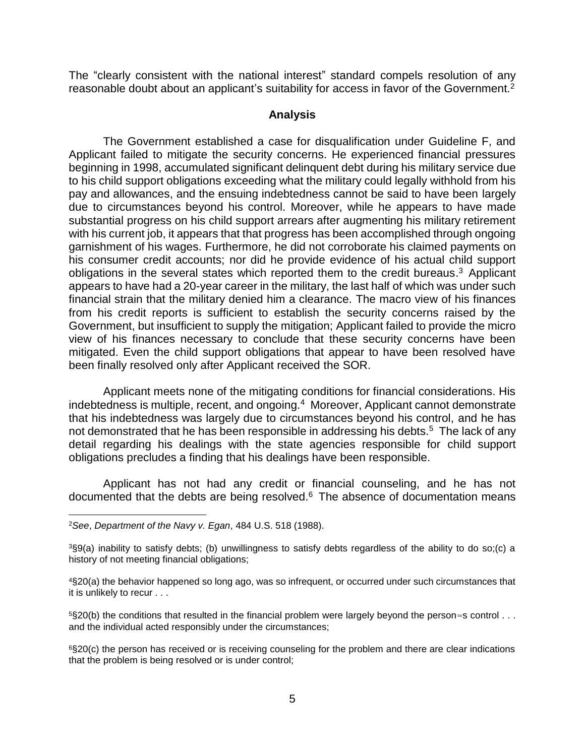The "clearly consistent with the national interest" standard compels resolution of any reasonable doubt about an applicant's suitability for access in favor of the Government.<sup>2</sup>

#### **Analysis**

 The Government established a case for disqualification under Guideline F, and Applicant failed to mitigate the security concerns. He experienced financial pressures beginning in 1998, accumulated significant delinquent debt during his military service due to his child support obligations exceeding what the military could legally withhold from his pay and allowances, and the ensuing indebtedness cannot be said to have been largely due to circumstances beyond his control. Moreover, while he appears to have made substantial progress on his child support arrears after augmenting his military retirement with his current job, it appears that that progress has been accomplished through ongoing his consumer credit accounts; nor did he provide evidence of his actual child support obligations in the several states which reported them to the credit bureaus.<sup>3</sup> Applicant appears to have had a 20-year career in the military, the last half of which was under such financial strain that the military denied him a clearance. The macro view of his finances from his credit reports is sufficient to establish the security concerns raised by the Government, but insufficient to supply the mitigation; Applicant failed to provide the micro view of his finances necessary to conclude that these security concerns have been mitigated. Even the child support obligations that appear to have been resolved have garnishment of his wages. Furthermore, he did not corroborate his claimed payments on been finally resolved only after Applicant received the SOR.

indebtedness is multiple, recent, and ongoing.<sup>4</sup> Moreover, Applicant cannot demonstrate that his indebtedness was largely due to circumstances beyond his control, and he has not demonstrated that he has been responsible in addressing his debts.<sup>5</sup> The lack of any detail regarding his dealings with the state agencies responsible for child support Applicant meets none of the mitigating conditions for financial considerations. His obligations precludes a finding that his dealings have been responsible.

 Applicant has not had any credit or financial counseling, and he has not documented that the debts are being resolved. $6$  The absence of documentation means

 $\overline{a}$ 

 4§20(a) the behavior happened so long ago, was so infrequent, or occurred under such circumstances that it is unlikely to recur . . .

 $5$ §20(b) the conditions that resulted in the financial problem were largely beyond the person=s control  $\dots$ and the individual acted responsibly under the circumstances;

 6§20(c) the person has received or is receiving counseling for the problem and there are clear indications that the problem is being resolved or is under control;

<sup>2</sup>*See*, *Department of the Navy v. Egan*, 484 U.S. 518 (1988).

 3§9(a) inability to satisfy debts; (b) unwillingness to satisfy debts regardless of the ability to do so;(c) a history of not meeting financial obligations;